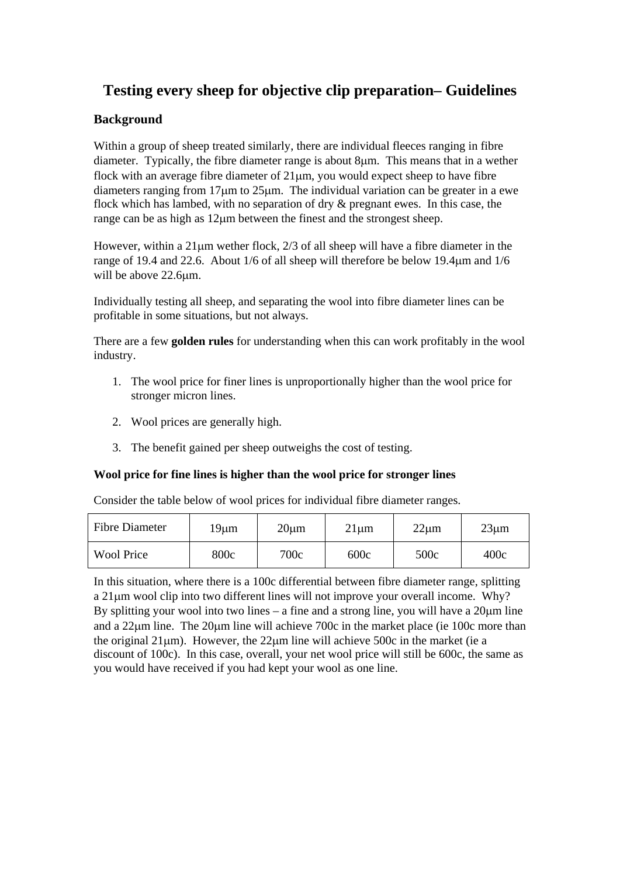# **Testing every sheep for objective clip preparation– Guidelines**

#### **Background**

Within a group of sheep treated similarly, there are individual fleeces ranging in fibre diameter. Typically, the fibre diameter range is about 8μm. This means that in a wether flock with an average fibre diameter of 21μm, you would expect sheep to have fibre diameters ranging from 17μm to 25μm. The individual variation can be greater in a ewe flock which has lambed, with no separation of dry & pregnant ewes. In this case, the range can be as high as 12μm between the finest and the strongest sheep.

However, within a 21μm wether flock, 2/3 of all sheep will have a fibre diameter in the range of 19.4 and 22.6. About 1/6 of all sheep will therefore be below 19.4μm and 1/6 will be above 22.6μm.

Individually testing all sheep, and separating the wool into fibre diameter lines can be profitable in some situations, but not always.

There are a few **golden rules** for understanding when this can work profitably in the wool industry.

- 1. The wool price for finer lines is unproportionally higher than the wool price for stronger micron lines.
- 2. Wool prices are generally high.
- 3. The benefit gained per sheep outweighs the cost of testing.

#### **Wool price for fine lines is higher than the wool price for stronger lines**

Consider the table below of wool prices for individual fibre diameter ranges.

| <b>Fibre Diameter</b> | 19um | $20 \mu m$ | $21 \mu m$ | $22 \mu m$ | $23 \mu m$ |
|-----------------------|------|------------|------------|------------|------------|
| <b>Wool Price</b>     | 800c | 700c       | 600c       | 500c       | 400c       |

In this situation, where there is a 100c differential between fibre diameter range, splitting a 21μm wool clip into two different lines will not improve your overall income. Why? By splitting your wool into two lines – a fine and a strong line, you will have a 20μm line and a 22μm line. The 20μm line will achieve 700c in the market place (ie 100c more than the original  $21\mu$ m). However, the  $22\mu$ m line will achieve 500c in the market (ie a discount of 100c). In this case, overall, your net wool price will still be 600c, the same as you would have received if you had kept your wool as one line.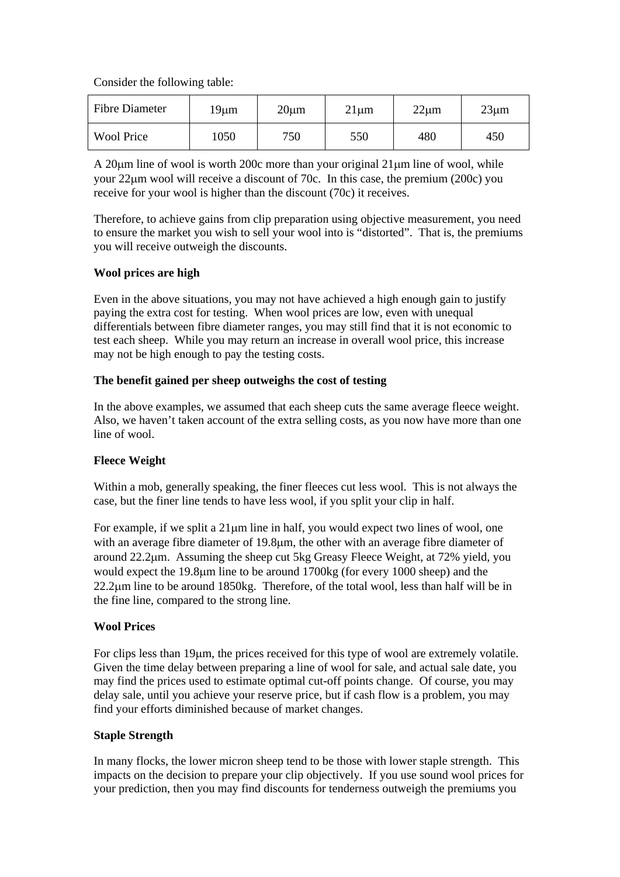Consider the following table:

| <b>Fibre Diameter</b> | 19µm | $20 \mu m$ | $21 \mu m$ | $22 \mu m$ | $23 \mu m$ |
|-----------------------|------|------------|------------|------------|------------|
| <b>Wool Price</b>     | 1050 | 750        | 550        | 480        | 450        |

A 20μm line of wool is worth 200c more than your original 21μm line of wool, while your 22μm wool will receive a discount of 70c. In this case, the premium (200c) you receive for your wool is higher than the discount (70c) it receives.

Therefore, to achieve gains from clip preparation using objective measurement, you need to ensure the market you wish to sell your wool into is "distorted". That is, the premiums you will receive outweigh the discounts.

#### **Wool prices are high**

Even in the above situations, you may not have achieved a high enough gain to justify paying the extra cost for testing. When wool prices are low, even with unequal differentials between fibre diameter ranges, you may still find that it is not economic to test each sheep. While you may return an increase in overall wool price, this increase may not be high enough to pay the testing costs.

#### **The benefit gained per sheep outweighs the cost of testing**

In the above examples, we assumed that each sheep cuts the same average fleece weight. Also, we haven't taken account of the extra selling costs, as you now have more than one line of wool.

#### **Fleece Weight**

Within a mob, generally speaking, the finer fleeces cut less wool. This is not always the case, but the finer line tends to have less wool, if you split your clip in half.

For example, if we split a 21μm line in half, you would expect two lines of wool, one with an average fibre diameter of 19.8μm, the other with an average fibre diameter of around 22.2μm. Assuming the sheep cut 5kg Greasy Fleece Weight, at 72% yield, you would expect the 19.8μm line to be around 1700kg (for every 1000 sheep) and the 22.2μm line to be around 1850kg. Therefore, of the total wool, less than half will be in the fine line, compared to the strong line.

#### **Wool Prices**

For clips less than 19μm, the prices received for this type of wool are extremely volatile. Given the time delay between preparing a line of wool for sale, and actual sale date, you may find the prices used to estimate optimal cut-off points change. Of course, you may delay sale, until you achieve your reserve price, but if cash flow is a problem, you may find your efforts diminished because of market changes.

#### **Staple Strength**

In many flocks, the lower micron sheep tend to be those with lower staple strength. This impacts on the decision to prepare your clip objectively. If you use sound wool prices for your prediction, then you may find discounts for tenderness outweigh the premiums you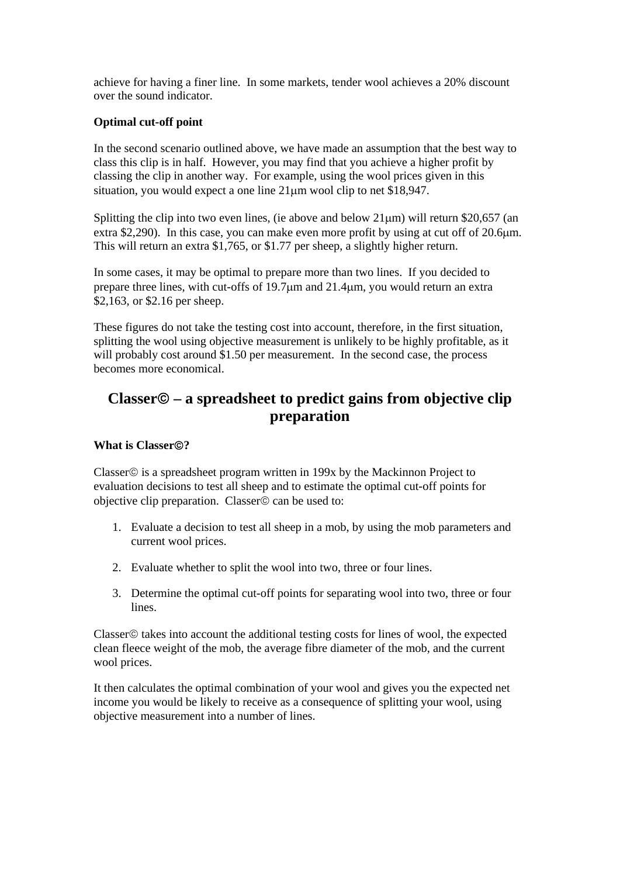achieve for having a finer line. In some markets, tender wool achieves a 20% discount over the sound indicator.

#### **Optimal cut-off point**

In the second scenario outlined above, we have made an assumption that the best way to class this clip is in half. However, you may find that you achieve a higher profit by classing the clip in another way. For example, using the wool prices given in this situation, you would expect a one line 21μm wool clip to net \$18,947.

Splitting the clip into two even lines, (ie above and below  $21\mu m$ ) will return \$20,657 (an extra \$2,290). In this case, you can make even more profit by using at cut off of 20.6μm. This will return an extra \$1,765, or \$1.77 per sheep, a slightly higher return.

In some cases, it may be optimal to prepare more than two lines. If you decided to prepare three lines, with cut-offs of 19.7μm and 21.4μm, you would return an extra \$2,163, or \$2.16 per sheep.

These figures do not take the testing cost into account, therefore, in the first situation, splitting the wool using objective measurement is unlikely to be highly profitable, as it will probably cost around \$1.50 per measurement. In the second case, the process becomes more economical.

## **Classer**© **– a spreadsheet to predict gains from objective clip preparation**

#### **What is Classer**©**?**

Classer© is a spreadsheet program written in 199x by the Mackinnon Project to evaluation decisions to test all sheep and to estimate the optimal cut-off points for objective clip preparation. Classer© can be used to:

- 1. Evaluate a decision to test all sheep in a mob, by using the mob parameters and current wool prices.
- 2. Evaluate whether to split the wool into two, three or four lines.
- 3. Determine the optimal cut-off points for separating wool into two, three or four lines.

Classer© takes into account the additional testing costs for lines of wool, the expected clean fleece weight of the mob, the average fibre diameter of the mob, and the current wool prices.

It then calculates the optimal combination of your wool and gives you the expected net income you would be likely to receive as a consequence of splitting your wool, using objective measurement into a number of lines.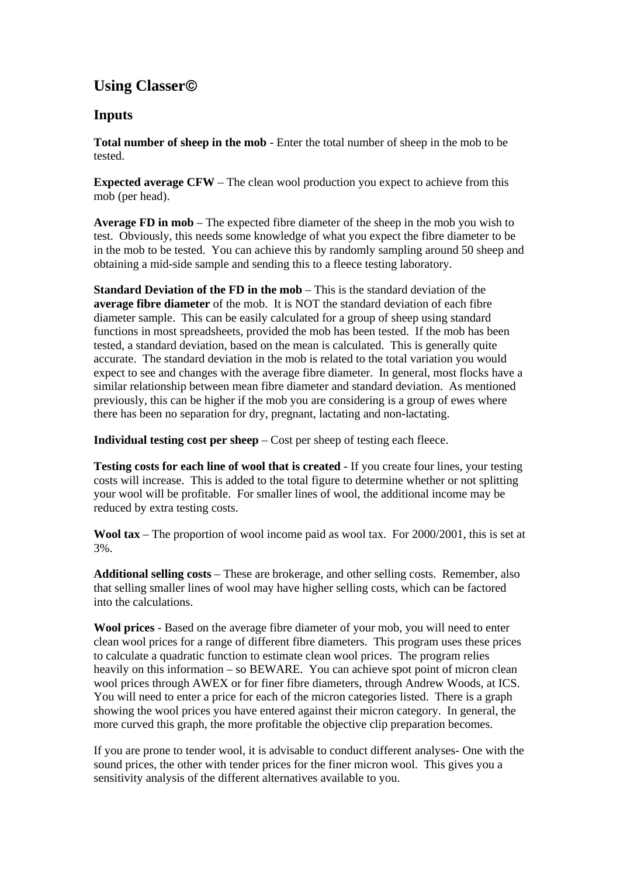# **Using Classer**©

### **Inputs**

**Total number of sheep in the mob** - Enter the total number of sheep in the mob to be tested.

**Expected average CFW** – The clean wool production you expect to achieve from this mob (per head).

**Average FD in mob** – The expected fibre diameter of the sheep in the mob you wish to test. Obviously, this needs some knowledge of what you expect the fibre diameter to be in the mob to be tested. You can achieve this by randomly sampling around 50 sheep and obtaining a mid-side sample and sending this to a fleece testing laboratory.

**Standard Deviation of the FD in the mob** – This is the standard deviation of the **average fibre diameter** of the mob. It is NOT the standard deviation of each fibre diameter sample. This can be easily calculated for a group of sheep using standard functions in most spreadsheets, provided the mob has been tested. If the mob has been tested, a standard deviation, based on the mean is calculated. This is generally quite accurate. The standard deviation in the mob is related to the total variation you would expect to see and changes with the average fibre diameter. In general, most flocks have a similar relationship between mean fibre diameter and standard deviation. As mentioned previously, this can be higher if the mob you are considering is a group of ewes where there has been no separation for dry, pregnant, lactating and non-lactating.

**Individual testing cost per sheep** – Cost per sheep of testing each fleece.

**Testing costs for each line of wool that is created** - If you create four lines, your testing costs will increase. This is added to the total figure to determine whether or not splitting your wool will be profitable. For smaller lines of wool, the additional income may be reduced by extra testing costs.

**Wool tax** – The proportion of wool income paid as wool tax. For 2000/2001, this is set at 3%.

**Additional selling costs** – These are brokerage, and other selling costs. Remember, also that selling smaller lines of wool may have higher selling costs, which can be factored into the calculations.

**Wool prices** - Based on the average fibre diameter of your mob, you will need to enter clean wool prices for a range of different fibre diameters. This program uses these prices to calculate a quadratic function to estimate clean wool prices. The program relies heavily on this information – so BEWARE. You can achieve spot point of micron clean wool prices through AWEX or for finer fibre diameters, through Andrew Woods, at ICS. You will need to enter a price for each of the micron categories listed. There is a graph showing the wool prices you have entered against their micron category. In general, the more curved this graph, the more profitable the objective clip preparation becomes.

If you are prone to tender wool, it is advisable to conduct different analyses- One with the sound prices, the other with tender prices for the finer micron wool. This gives you a sensitivity analysis of the different alternatives available to you.